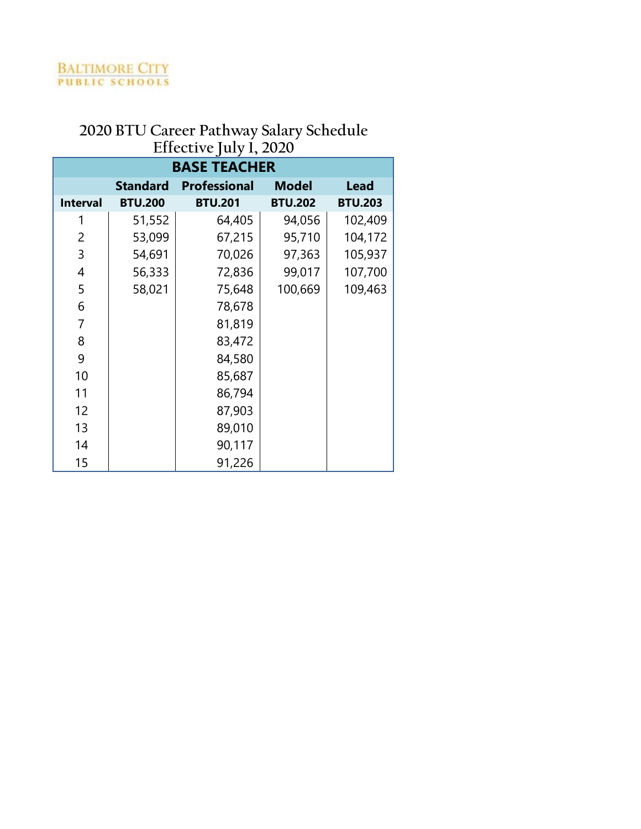| <b>BASE TEACHER</b> |                                                                       |                |                |                |  |  |  |
|---------------------|-----------------------------------------------------------------------|----------------|----------------|----------------|--|--|--|
|                     | <b>Model</b><br><b>Lead</b><br><b>Standard</b><br><b>Professional</b> |                |                |                |  |  |  |
| <b>Interval</b>     | <b>BTU.200</b>                                                        | <b>BTU.201</b> | <b>BTU.202</b> | <b>BTU.203</b> |  |  |  |
| 1                   | 51,552                                                                | 64,405         | 94,056         | 102,409        |  |  |  |
| 2                   | 53,099                                                                | 67,215         | 95,710         | 104,172        |  |  |  |
| 3                   | 54,691                                                                | 70,026         | 97,363         | 105,937        |  |  |  |
| 4                   | 56,333                                                                | 72,836         | 99,017         | 107,700        |  |  |  |
| 5                   | 58,021                                                                | 75,648         | 100,669        | 109,463        |  |  |  |
| 6                   |                                                                       | 78,678         |                |                |  |  |  |
| 7                   |                                                                       | 81,819         |                |                |  |  |  |
| 8                   |                                                                       | 83,472         |                |                |  |  |  |
| 9                   |                                                                       | 84,580         |                |                |  |  |  |
| 10                  |                                                                       | 85,687         |                |                |  |  |  |
| 11                  |                                                                       | 86,794         |                |                |  |  |  |
| 12                  |                                                                       | 87,903         |                |                |  |  |  |
| 13                  |                                                                       | 89,010         |                |                |  |  |  |
| 14                  |                                                                       | 90,117         |                |                |  |  |  |
| 15                  |                                                                       | 91,226         |                |                |  |  |  |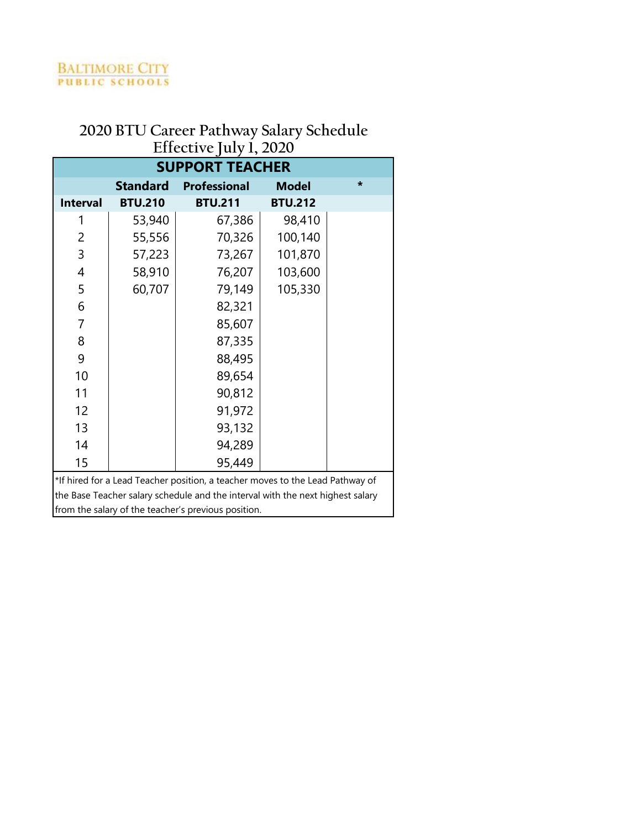| <b>SUPPORT TEACHER</b> |                 |                                                                                |                |         |  |
|------------------------|-----------------|--------------------------------------------------------------------------------|----------------|---------|--|
|                        | <b>Standard</b> | <b>Professional</b>                                                            | <b>Model</b>   | $\star$ |  |
| <b>Interval</b>        | <b>BTU.210</b>  | <b>BTU.211</b>                                                                 | <b>BTU.212</b> |         |  |
| 1                      | 53,940          | 67,386                                                                         | 98,410         |         |  |
| 2                      | 55,556          | 70,326                                                                         | 100,140        |         |  |
| 3                      | 57,223          | 73,267                                                                         | 101,870        |         |  |
| 4                      | 58,910          | 76,207                                                                         | 103,600        |         |  |
| 5                      | 60,707          | 79,149                                                                         | 105,330        |         |  |
| 6                      |                 | 82,321                                                                         |                |         |  |
| 7                      |                 | 85,607                                                                         |                |         |  |
| 8                      |                 | 87,335                                                                         |                |         |  |
| 9                      |                 | 88,495                                                                         |                |         |  |
| 10                     |                 | 89,654                                                                         |                |         |  |
| 11                     |                 | 90,812                                                                         |                |         |  |
| 12                     |                 | 91,972                                                                         |                |         |  |
| 13                     |                 | 93,132                                                                         |                |         |  |
| 14                     |                 | 94,289                                                                         |                |         |  |
| 15                     |                 | 95,449                                                                         |                |         |  |
|                        |                 | *If hired for a Lead Teacher position, a teacher moves to the Lead Pathway of  |                |         |  |
|                        |                 | the Base Teacher salary schedule and the interval with the next highest salary |                |         |  |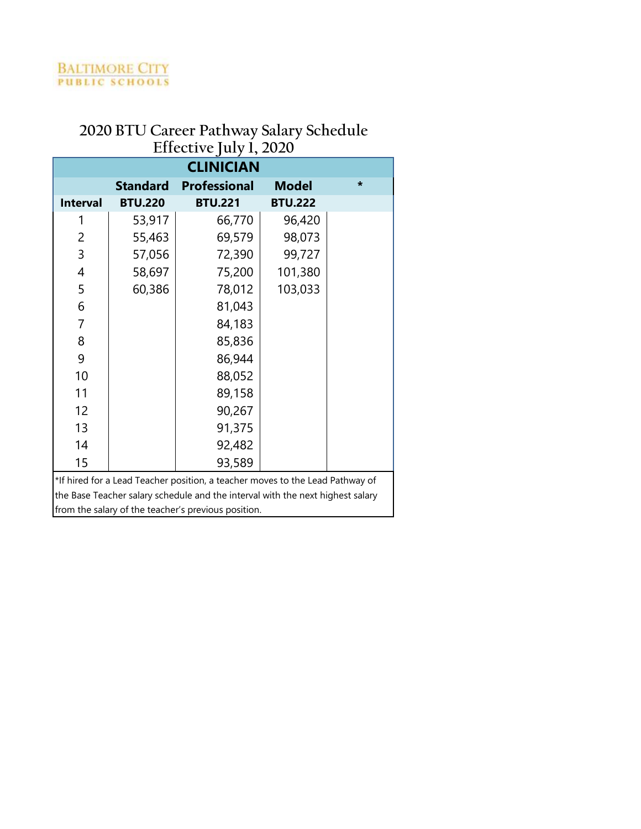| <b>CLINICIAN</b>                                                               |                 |                                                                               |                |        |  |  |  |
|--------------------------------------------------------------------------------|-----------------|-------------------------------------------------------------------------------|----------------|--------|--|--|--|
|                                                                                | <b>Standard</b> | <b>Professional</b>                                                           | <b>Model</b>   | $\ast$ |  |  |  |
| <b>Interval</b>                                                                | <b>BTU.220</b>  | <b>BTU.221</b>                                                                | <b>BTU.222</b> |        |  |  |  |
| 1                                                                              | 53,917          | 66,770                                                                        | 96,420         |        |  |  |  |
| 2                                                                              | 55,463          | 69,579                                                                        | 98,073         |        |  |  |  |
| 3                                                                              | 57,056          | 72,390                                                                        | 99,727         |        |  |  |  |
| 4                                                                              | 58,697          | 75,200                                                                        | 101,380        |        |  |  |  |
| 5                                                                              | 60,386          | 78,012                                                                        | 103,033        |        |  |  |  |
| 6                                                                              |                 | 81,043                                                                        |                |        |  |  |  |
| 7                                                                              |                 | 84,183                                                                        |                |        |  |  |  |
| 8                                                                              |                 | 85,836                                                                        |                |        |  |  |  |
| 9                                                                              |                 | 86,944                                                                        |                |        |  |  |  |
| 10                                                                             |                 | 88,052                                                                        |                |        |  |  |  |
| 11                                                                             |                 | 89,158                                                                        |                |        |  |  |  |
| 12                                                                             |                 | 90,267                                                                        |                |        |  |  |  |
| 13                                                                             |                 | 91,375                                                                        |                |        |  |  |  |
| 14                                                                             |                 | 92,482                                                                        |                |        |  |  |  |
| 15                                                                             |                 | 93,589                                                                        |                |        |  |  |  |
|                                                                                |                 | *If hired for a Lead Teacher position, a teacher moves to the Lead Pathway of |                |        |  |  |  |
| the Base Teacher salary schedule and the interval with the next highest salary |                 |                                                                               |                |        |  |  |  |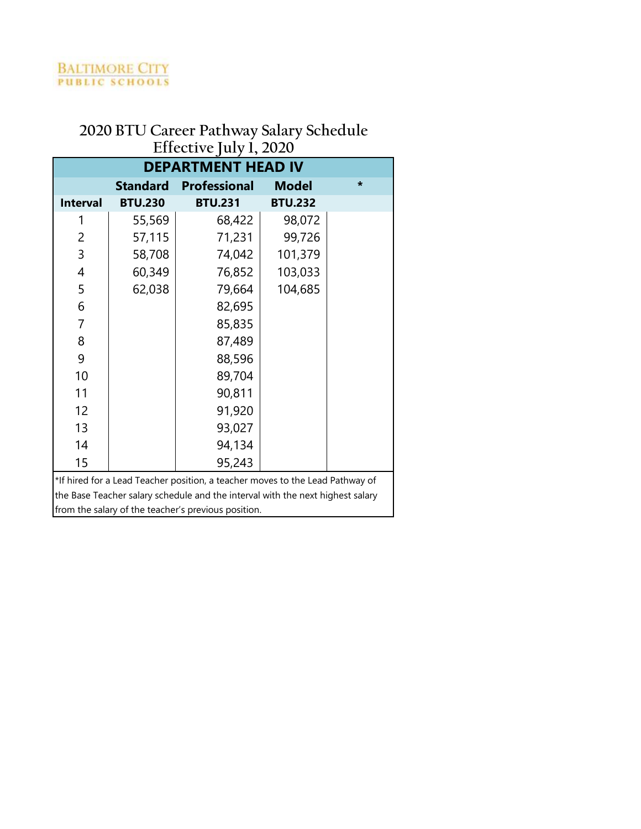| <b>DEPARTMENT HEAD IV</b> |                 |                                                                                |                |         |  |  |
|---------------------------|-----------------|--------------------------------------------------------------------------------|----------------|---------|--|--|
|                           | <b>Standard</b> | <b>Professional</b>                                                            | <b>Model</b>   | $\star$ |  |  |
| <b>Interval</b>           | <b>BTU.230</b>  | <b>BTU.231</b>                                                                 | <b>BTU.232</b> |         |  |  |
| 1                         | 55,569          | 68,422                                                                         | 98,072         |         |  |  |
| 2                         | 57,115          | 71,231                                                                         | 99,726         |         |  |  |
| 3                         | 58,708          | 74,042                                                                         | 101,379        |         |  |  |
| 4                         | 60,349          | 76,852                                                                         | 103,033        |         |  |  |
| 5                         | 62,038          | 79,664                                                                         | 104,685        |         |  |  |
| 6                         |                 | 82,695                                                                         |                |         |  |  |
| $\overline{7}$            |                 | 85,835                                                                         |                |         |  |  |
| 8                         |                 | 87,489                                                                         |                |         |  |  |
| 9                         |                 | 88,596                                                                         |                |         |  |  |
| 10                        |                 | 89,704                                                                         |                |         |  |  |
| 11                        |                 | 90,811                                                                         |                |         |  |  |
| 12                        |                 | 91,920                                                                         |                |         |  |  |
| 13                        |                 | 93,027                                                                         |                |         |  |  |
| 14                        |                 | 94,134                                                                         |                |         |  |  |
| 15                        |                 | 95,243                                                                         |                |         |  |  |
|                           |                 | *If hired for a Lead Teacher position, a teacher moves to the Lead Pathway of  |                |         |  |  |
|                           |                 | the Base Teacher salary schedule and the interval with the next highest salary |                |         |  |  |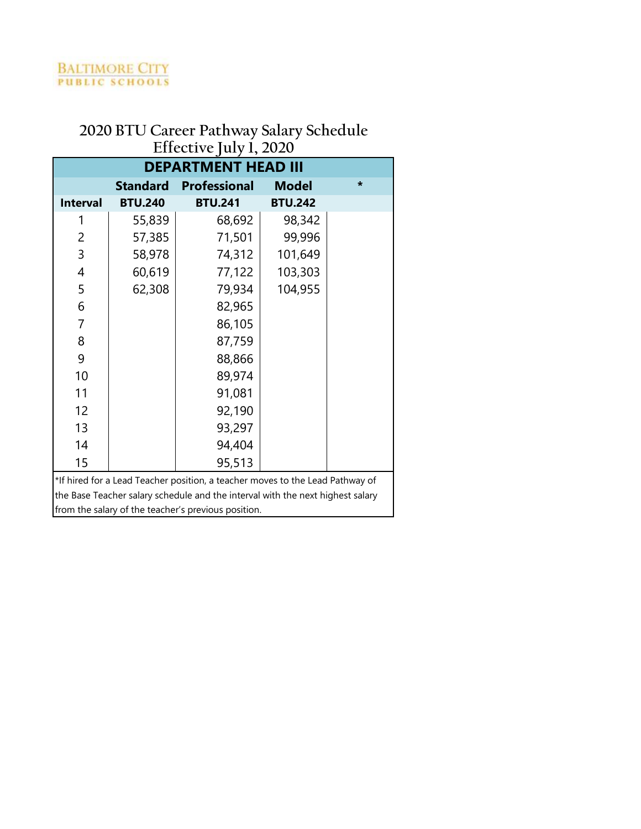| 201000100                  |                 |                                                                                |                |         |  |  |  |
|----------------------------|-----------------|--------------------------------------------------------------------------------|----------------|---------|--|--|--|
| <b>DEPARTMENT HEAD III</b> |                 |                                                                                |                |         |  |  |  |
|                            | <b>Standard</b> | <b>Professional</b>                                                            | <b>Model</b>   | $\star$ |  |  |  |
| <b>Interval</b>            | <b>BTU.240</b>  | <b>BTU.241</b>                                                                 | <b>BTU.242</b> |         |  |  |  |
| 1                          | 55,839          | 68,692                                                                         | 98,342         |         |  |  |  |
| 2                          | 57,385          | 71,501                                                                         | 99,996         |         |  |  |  |
| 3                          | 58,978          | 74,312                                                                         | 101,649        |         |  |  |  |
| 4                          | 60,619          | 77,122                                                                         | 103,303        |         |  |  |  |
| 5                          | 62,308          | 79,934                                                                         | 104,955        |         |  |  |  |
| 6                          |                 | 82,965                                                                         |                |         |  |  |  |
| $\overline{7}$             |                 | 86,105                                                                         |                |         |  |  |  |
| 8                          |                 | 87,759                                                                         |                |         |  |  |  |
| 9                          |                 | 88,866                                                                         |                |         |  |  |  |
| 10                         |                 | 89,974                                                                         |                |         |  |  |  |
| 11                         |                 | 91,081                                                                         |                |         |  |  |  |
| 12                         |                 | 92,190                                                                         |                |         |  |  |  |
| 13                         |                 | 93,297                                                                         |                |         |  |  |  |
| 14                         |                 | 94,404                                                                         |                |         |  |  |  |
| 15                         |                 | 95,513                                                                         |                |         |  |  |  |
|                            |                 | *If hired for a Lead Teacher position, a teacher moves to the Lead Pathway of  |                |         |  |  |  |
|                            |                 | the Base Teacher salary schedule and the interval with the next highest salary |                |         |  |  |  |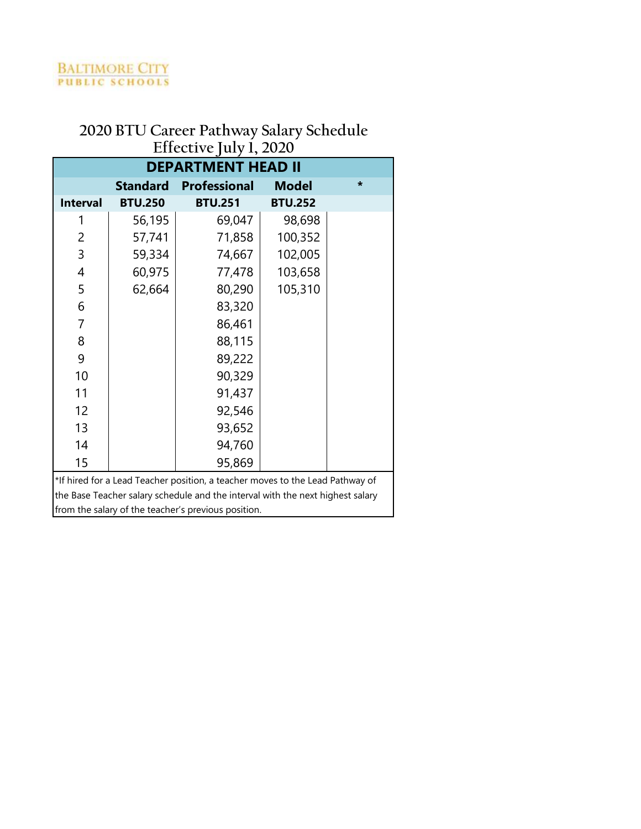|                 | <b>DEPARTMENT HEAD II</b> |                                                                                |                |        |  |  |  |
|-----------------|---------------------------|--------------------------------------------------------------------------------|----------------|--------|--|--|--|
|                 | <b>Standard</b>           | <b>Professional</b>                                                            | <b>Model</b>   | $\ast$ |  |  |  |
| <b>Interval</b> | <b>BTU.250</b>            | <b>BTU.251</b>                                                                 | <b>BTU.252</b> |        |  |  |  |
| 1               | 56,195                    | 69,047                                                                         | 98,698         |        |  |  |  |
| 2               | 57,741                    | 71,858                                                                         | 100,352        |        |  |  |  |
| 3               | 59,334                    | 74,667                                                                         | 102,005        |        |  |  |  |
| 4               | 60,975                    | 77,478                                                                         | 103,658        |        |  |  |  |
| 5               | 62,664                    | 80,290                                                                         | 105,310        |        |  |  |  |
| 6               |                           | 83,320                                                                         |                |        |  |  |  |
| 7               |                           | 86,461                                                                         |                |        |  |  |  |
| 8               |                           | 88,115                                                                         |                |        |  |  |  |
| 9               |                           | 89,222                                                                         |                |        |  |  |  |
| 10              |                           | 90,329                                                                         |                |        |  |  |  |
| 11              |                           | 91,437                                                                         |                |        |  |  |  |
| 12              |                           | 92,546                                                                         |                |        |  |  |  |
| 13              |                           | 93,652                                                                         |                |        |  |  |  |
| 14              |                           | 94,760                                                                         |                |        |  |  |  |
| 15              |                           | 95,869                                                                         |                |        |  |  |  |
|                 |                           | *If hired for a Lead Teacher position, a teacher moves to the Lead Pathway of  |                |        |  |  |  |
|                 |                           | the Base Teacher salary schedule and the interval with the next highest salary |                |        |  |  |  |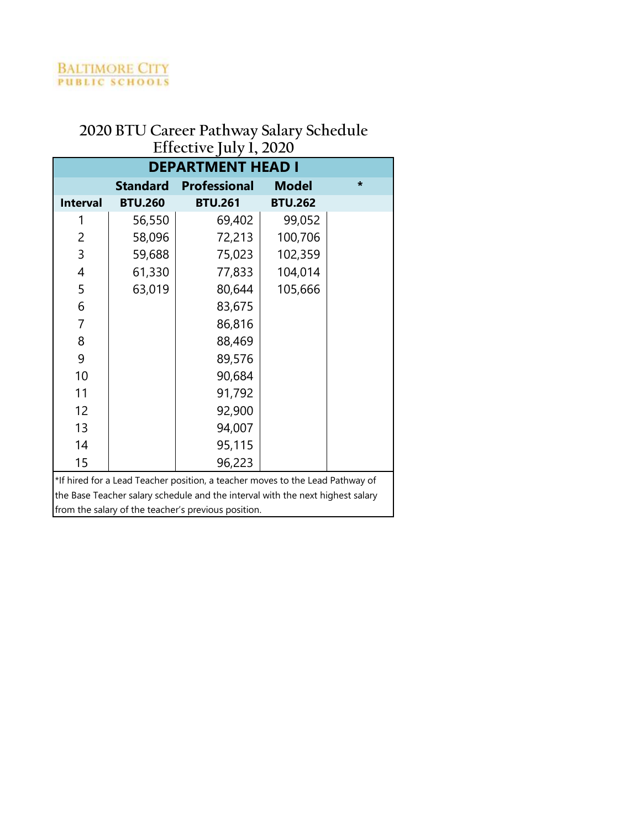| <b>DEPARTMENT HEAD I</b> |                 |                                                                                |                |         |  |  |  |
|--------------------------|-----------------|--------------------------------------------------------------------------------|----------------|---------|--|--|--|
|                          | <b>Standard</b> | <b>Professional</b>                                                            | <b>Model</b>   | $\star$ |  |  |  |
| <b>Interval</b>          | <b>BTU.260</b>  | <b>BTU.261</b>                                                                 | <b>BTU.262</b> |         |  |  |  |
| 1                        | 56,550          | 69,402                                                                         | 99,052         |         |  |  |  |
| 2                        | 58,096          | 72,213                                                                         | 100,706        |         |  |  |  |
| 3                        | 59,688          | 75,023                                                                         | 102,359        |         |  |  |  |
| 4                        | 61,330          | 77,833                                                                         | 104,014        |         |  |  |  |
| 5                        | 63,019          | 80,644                                                                         | 105,666        |         |  |  |  |
| 6                        |                 | 83,675                                                                         |                |         |  |  |  |
| 7                        |                 | 86,816                                                                         |                |         |  |  |  |
| 8                        |                 | 88,469                                                                         |                |         |  |  |  |
| 9                        |                 | 89,576                                                                         |                |         |  |  |  |
| 10                       |                 | 90,684                                                                         |                |         |  |  |  |
| 11                       |                 | 91,792                                                                         |                |         |  |  |  |
| 12                       |                 | 92,900                                                                         |                |         |  |  |  |
| 13                       |                 | 94,007                                                                         |                |         |  |  |  |
| 14                       |                 | 95,115                                                                         |                |         |  |  |  |
| 15                       |                 | 96,223                                                                         |                |         |  |  |  |
|                          |                 | *If hired for a Lead Teacher position, a teacher moves to the Lead Pathway of  |                |         |  |  |  |
|                          |                 | the Base Teacher salary schedule and the interval with the next highest salary |                |         |  |  |  |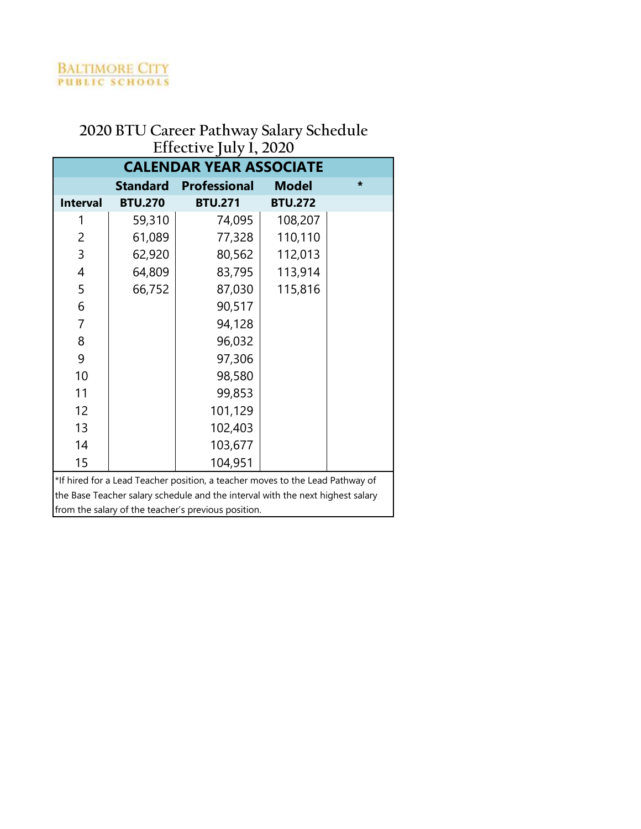|                                | $\text{Lipc}$   |                                                                                |                |        |  |  |  |
|--------------------------------|-----------------|--------------------------------------------------------------------------------|----------------|--------|--|--|--|
| <b>CALENDAR YEAR ASSOCIATE</b> |                 |                                                                                |                |        |  |  |  |
|                                | <b>Standard</b> | <b>Professional</b>                                                            | <b>Model</b>   | $\ast$ |  |  |  |
| <b>Interval</b>                | <b>BTU.270</b>  | <b>BTU.271</b>                                                                 | <b>BTU.272</b> |        |  |  |  |
| 1                              | 59,310          | 74,095                                                                         | 108,207        |        |  |  |  |
| 2                              | 61,089          | 77,328                                                                         | 110,110        |        |  |  |  |
| 3                              | 62,920          | 80,562                                                                         | 112,013        |        |  |  |  |
| 4                              | 64,809          | 83,795                                                                         | 113,914        |        |  |  |  |
| 5                              | 66,752          | 87,030                                                                         | 115,816        |        |  |  |  |
| 6                              |                 | 90,517                                                                         |                |        |  |  |  |
| $\overline{7}$                 |                 | 94,128                                                                         |                |        |  |  |  |
| 8                              |                 | 96,032                                                                         |                |        |  |  |  |
| 9                              |                 | 97,306                                                                         |                |        |  |  |  |
| 10                             |                 | 98,580                                                                         |                |        |  |  |  |
| 11                             |                 | 99,853                                                                         |                |        |  |  |  |
| 12                             |                 | 101,129                                                                        |                |        |  |  |  |
| 13                             |                 | 102,403                                                                        |                |        |  |  |  |
| 14                             |                 | 103,677                                                                        |                |        |  |  |  |
| 15                             |                 | 104,951                                                                        |                |        |  |  |  |
|                                |                 | *If hired for a Lead Teacher position, a teacher moves to the Lead Pathway of  |                |        |  |  |  |
|                                |                 | the Base Teacher salary schedule and the interval with the next highest salary |                |        |  |  |  |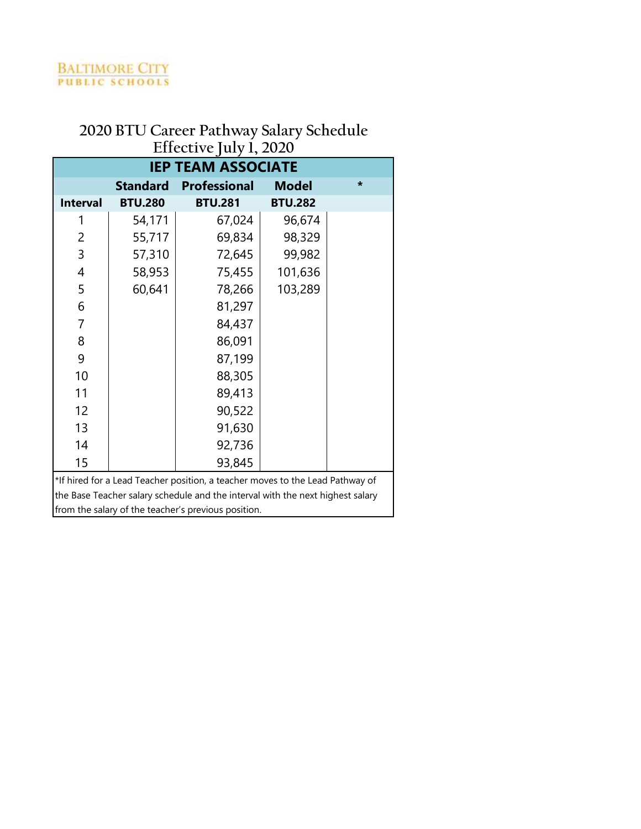| $L$ -Literative july 1, $2020$ |                 |                                                                                |                |         |  |  |
|--------------------------------|-----------------|--------------------------------------------------------------------------------|----------------|---------|--|--|
| <b>IEP TEAM ASSOCIATE</b>      |                 |                                                                                |                |         |  |  |
|                                | <b>Standard</b> | <b>Professional</b>                                                            | <b>Model</b>   | $\star$ |  |  |
| <b>Interval</b>                | <b>BTU.280</b>  | <b>BTU.281</b>                                                                 | <b>BTU.282</b> |         |  |  |
| 1                              | 54,171          | 67,024                                                                         | 96,674         |         |  |  |
| 2                              | 55,717          | 69,834                                                                         | 98,329         |         |  |  |
| 3                              | 57,310          | 72,645                                                                         | 99,982         |         |  |  |
| 4                              | 58,953          | 75,455                                                                         | 101,636        |         |  |  |
| 5                              | 60,641          | 78,266                                                                         | 103,289        |         |  |  |
| 6                              |                 | 81,297                                                                         |                |         |  |  |
| 7                              |                 | 84,437                                                                         |                |         |  |  |
| 8                              |                 | 86,091                                                                         |                |         |  |  |
| 9                              |                 | 87,199                                                                         |                |         |  |  |
| 10                             |                 | 88,305                                                                         |                |         |  |  |
| 11                             |                 | 89,413                                                                         |                |         |  |  |
| 12                             |                 | 90,522                                                                         |                |         |  |  |
| 13                             |                 | 91,630                                                                         |                |         |  |  |
| 14                             |                 | 92,736                                                                         |                |         |  |  |
| 15                             |                 | 93,845                                                                         |                |         |  |  |
|                                |                 | *If hired for a Lead Teacher position, a teacher moves to the Lead Pathway of  |                |         |  |  |
|                                |                 | the Base Teacher salary schedule and the interval with the next highest salary |                |         |  |  |